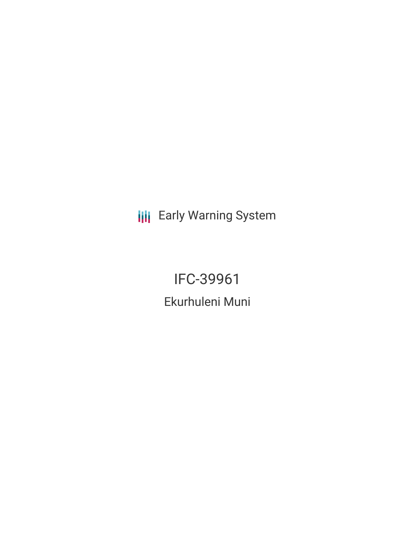**III** Early Warning System

IFC-39961 Ekurhuleni Muni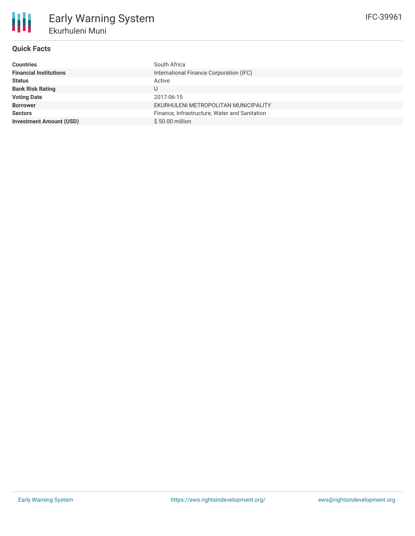

# **Quick Facts**

| Countries                      | South Africa                                  |
|--------------------------------|-----------------------------------------------|
| <b>Financial Institutions</b>  | International Finance Corporation (IFC)       |
| Status                         | Active                                        |
| <b>Bank Risk Rating</b>        | U                                             |
| <b>Voting Date</b>             | 2017-06-15                                    |
| <b>Borrower</b>                | EKURHULENI METROPOLITAN MUNICIPALITY          |
| <b>Sectors</b>                 | Finance, Infrastructure, Water and Sanitation |
| <b>Investment Amount (USD)</b> | $$50.00$ million                              |
|                                |                                               |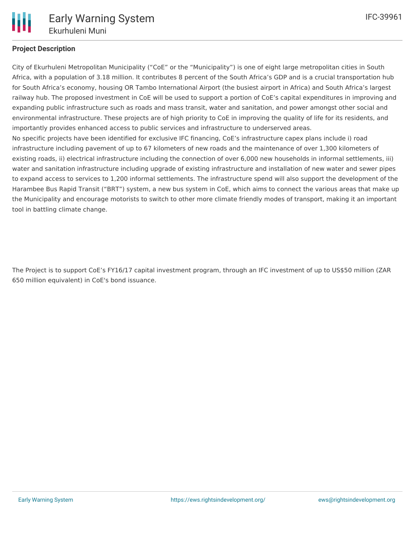

## **Project Description**

City of Ekurhuleni Metropolitan Municipality ("CoE" or the "Municipality") is one of eight large metropolitan cities in South Africa, with a population of 3.18 million. It contributes 8 percent of the South Africa's GDP and is a crucial transportation hub for South Africa's economy, housing OR Tambo International Airport (the busiest airport in Africa) and South Africa's largest railway hub. The proposed investment in CoE will be used to support a portion of CoE's capital expenditures in improving and expanding public infrastructure such as roads and mass transit, water and sanitation, and power amongst other social and environmental infrastructure. These projects are of high priority to CoE in improving the quality of life for its residents, and importantly provides enhanced access to public services and infrastructure to underserved areas. No specific projects have been identified for exclusive IFC financing, CoE's infrastructure capex plans include i) road infrastructure including pavement of up to 67 kilometers of new roads and the maintenance of over 1,300 kilometers of existing roads, ii) electrical infrastructure including the connection of over 6,000 new households in informal settlements, iii) water and sanitation infrastructure including upgrade of existing infrastructure and installation of new water and sewer pipes to expand access to services to 1,200 informal settlements. The infrastructure spend will also support the development of the Harambee Bus Rapid Transit ("BRT") system, a new bus system in CoE, which aims to connect the various areas that make up the Municipality and encourage motorists to switch to other more climate friendly modes of transport, making it an important tool in battling climate change.

The Project is to support CoE's FY16/17 capital investment program, through an IFC investment of up to US\$50 million (ZAR 650 million equivalent) in CoE's bond issuance.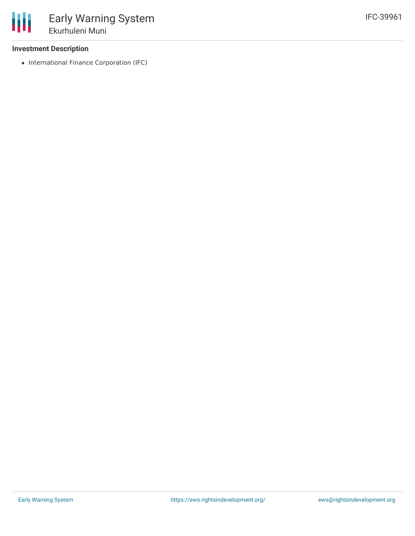### **Investment Description**

• International Finance Corporation (IFC)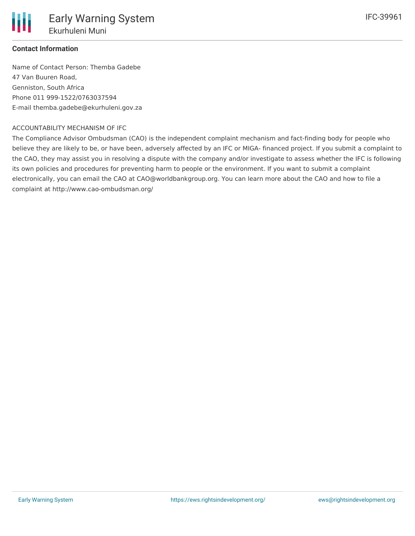

### **Contact Information**

Name of Contact Person: Themba Gadebe 47 Van Buuren Road, Genniston, South Africa Phone 011 999-1522/0763037594 E-mail themba.gadebe@ekurhuleni.gov.za

#### ACCOUNTABILITY MECHANISM OF IFC

The Compliance Advisor Ombudsman (CAO) is the independent complaint mechanism and fact-finding body for people who believe they are likely to be, or have been, adversely affected by an IFC or MIGA- financed project. If you submit a complaint to the CAO, they may assist you in resolving a dispute with the company and/or investigate to assess whether the IFC is following its own policies and procedures for preventing harm to people or the environment. If you want to submit a complaint electronically, you can email the CAO at CAO@worldbankgroup.org. You can learn more about the CAO and how to file a complaint at http://www.cao-ombudsman.org/